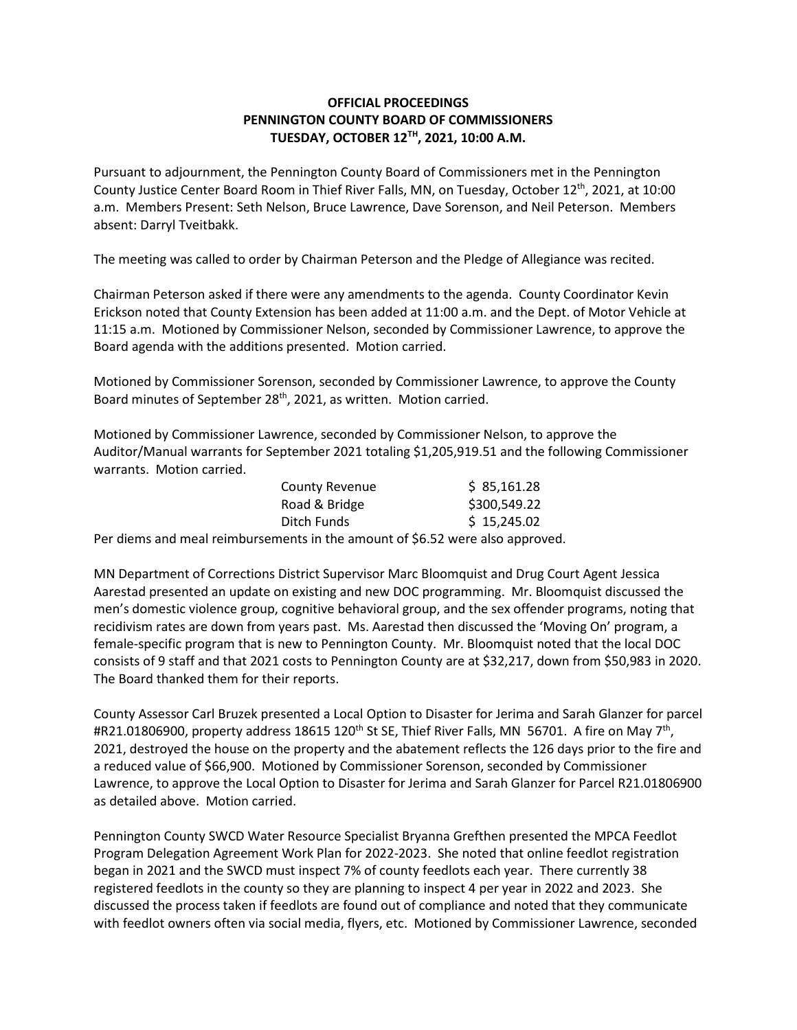## **OFFICIAL PROCEEDINGS PENNINGTON COUNTY BOARD OF COMMISSIONERS TUESDAY, OCTOBER 12TH, 2021, 10:00 A.M.**

Pursuant to adjournment, the Pennington County Board of Commissioners met in the Pennington County Justice Center Board Room in Thief River Falls, MN, on Tuesday, October 12<sup>th</sup>, 2021, at 10:00 a.m. Members Present: Seth Nelson, Bruce Lawrence, Dave Sorenson, and Neil Peterson. Members absent: Darryl Tveitbakk.

The meeting was called to order by Chairman Peterson and the Pledge of Allegiance was recited.

Chairman Peterson asked if there were any amendments to the agenda. County Coordinator Kevin Erickson noted that County Extension has been added at 11:00 a.m. and the Dept. of Motor Vehicle at 11:15 a.m. Motioned by Commissioner Nelson, seconded by Commissioner Lawrence, to approve the Board agenda with the additions presented. Motion carried.

Motioned by Commissioner Sorenson, seconded by Commissioner Lawrence, to approve the County Board minutes of September 28<sup>th</sup>, 2021, as written. Motion carried.

Motioned by Commissioner Lawrence, seconded by Commissioner Nelson, to approve the Auditor/Manual warrants for September 2021 totaling \$1,205,919.51 and the following Commissioner warrants. Motion carried.

| <b>County Revenue</b> | \$85,161.28  |
|-----------------------|--------------|
| Road & Bridge         | \$300,549.22 |
| Ditch Funds           | \$15,245.02  |

Per diems and meal reimbursements in the amount of \$6.52 were also approved.

MN Department of Corrections District Supervisor Marc Bloomquist and Drug Court Agent Jessica Aarestad presented an update on existing and new DOC programming. Mr. Bloomquist discussed the men's domestic violence group, cognitive behavioral group, and the sex offender programs, noting that recidivism rates are down from years past. Ms. Aarestad then discussed the 'Moving On' program, a female-specific program that is new to Pennington County. Mr. Bloomquist noted that the local DOC consists of 9 staff and that 2021 costs to Pennington County are at \$32,217, down from \$50,983 in 2020. The Board thanked them for their reports.

County Assessor Carl Bruzek presented a Local Option to Disaster for Jerima and Sarah Glanzer for parcel #R21.01806900, property address 18615 120<sup>th</sup> St SE, Thief River Falls, MN 56701. A fire on May 7<sup>th</sup>, 2021, destroyed the house on the property and the abatement reflects the 126 days prior to the fire and a reduced value of \$66,900. Motioned by Commissioner Sorenson, seconded by Commissioner Lawrence, to approve the Local Option to Disaster for Jerima and Sarah Glanzer for Parcel R21.01806900 as detailed above. Motion carried.

Pennington County SWCD Water Resource Specialist Bryanna Grefthen presented the MPCA Feedlot Program Delegation Agreement Work Plan for 2022-2023. She noted that online feedlot registration began in 2021 and the SWCD must inspect 7% of county feedlots each year. There currently 38 registered feedlots in the county so they are planning to inspect 4 per year in 2022 and 2023. She discussed the process taken if feedlots are found out of compliance and noted that they communicate with feedlot owners often via social media, flyers, etc. Motioned by Commissioner Lawrence, seconded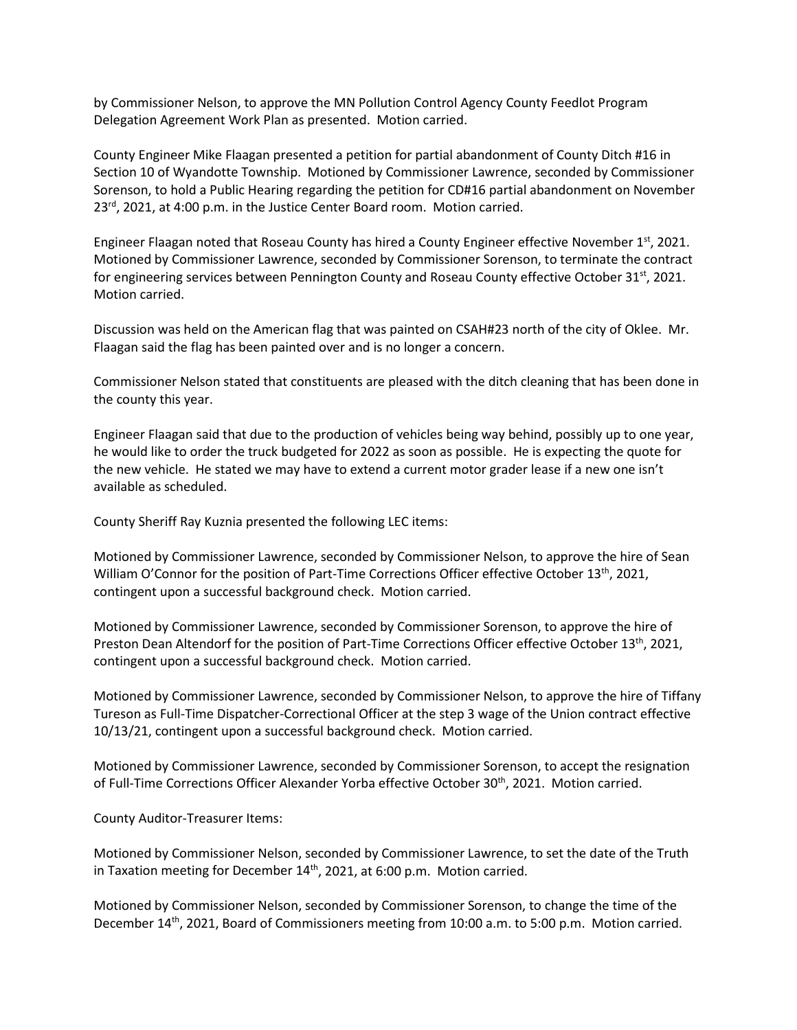by Commissioner Nelson, to approve the MN Pollution Control Agency County Feedlot Program Delegation Agreement Work Plan as presented. Motion carried.

County Engineer Mike Flaagan presented a petition for partial abandonment of County Ditch #16 in Section 10 of Wyandotte Township. Motioned by Commissioner Lawrence, seconded by Commissioner Sorenson, to hold a Public Hearing regarding the petition for CD#16 partial abandonment on November 23<sup>rd</sup>, 2021, at 4:00 p.m. in the Justice Center Board room. Motion carried.

Engineer Flaagan noted that Roseau County has hired a County Engineer effective November 1st, 2021. Motioned by Commissioner Lawrence, seconded by Commissioner Sorenson, to terminate the contract for engineering services between Pennington County and Roseau County effective October 31<sup>st</sup>, 2021. Motion carried.

Discussion was held on the American flag that was painted on CSAH#23 north of the city of Oklee. Mr. Flaagan said the flag has been painted over and is no longer a concern.

Commissioner Nelson stated that constituents are pleased with the ditch cleaning that has been done in the county this year.

Engineer Flaagan said that due to the production of vehicles being way behind, possibly up to one year, he would like to order the truck budgeted for 2022 as soon as possible. He is expecting the quote for the new vehicle. He stated we may have to extend a current motor grader lease if a new one isn't available as scheduled.

County Sheriff Ray Kuznia presented the following LEC items:

Motioned by Commissioner Lawrence, seconded by Commissioner Nelson, to approve the hire of Sean William O'Connor for the position of Part-Time Corrections Officer effective October 13<sup>th</sup>, 2021, contingent upon a successful background check. Motion carried.

Motioned by Commissioner Lawrence, seconded by Commissioner Sorenson, to approve the hire of Preston Dean Altendorf for the position of Part-Time Corrections Officer effective October 13<sup>th</sup>, 2021, contingent upon a successful background check. Motion carried.

Motioned by Commissioner Lawrence, seconded by Commissioner Nelson, to approve the hire of Tiffany Tureson as Full-Time Dispatcher-Correctional Officer at the step 3 wage of the Union contract effective 10/13/21, contingent upon a successful background check. Motion carried.

Motioned by Commissioner Lawrence, seconded by Commissioner Sorenson, to accept the resignation of Full-Time Corrections Officer Alexander Yorba effective October 30th, 2021. Motion carried.

County Auditor-Treasurer Items:

Motioned by Commissioner Nelson, seconded by Commissioner Lawrence, to set the date of the Truth in Taxation meeting for December 14<sup>th</sup>, 2021, at 6:00 p.m. Motion carried.

Motioned by Commissioner Nelson, seconded by Commissioner Sorenson, to change the time of the December 14<sup>th</sup>, 2021, Board of Commissioners meeting from 10:00 a.m. to 5:00 p.m. Motion carried.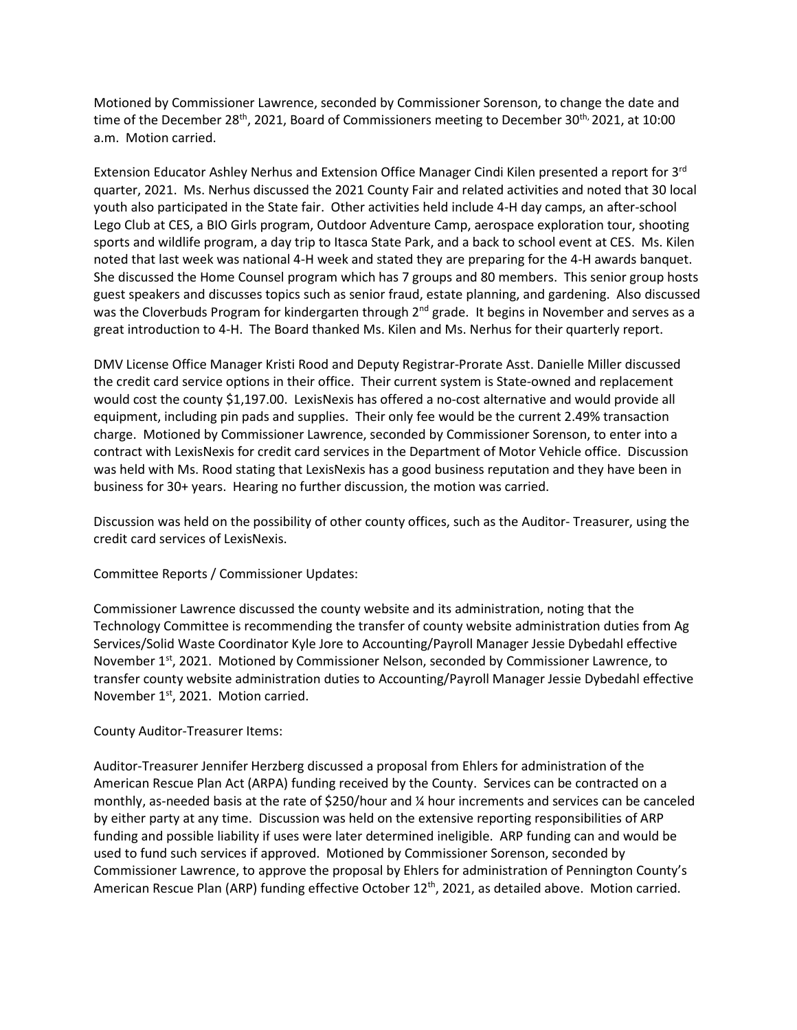Motioned by Commissioner Lawrence, seconded by Commissioner Sorenson, to change the date and time of the December 28<sup>th</sup>, 2021, Board of Commissioners meeting to December 30<sup>th,</sup> 2021, at 10:00 a.m. Motion carried.

Extension Educator Ashley Nerhus and Extension Office Manager Cindi Kilen presented a report for 3<sup>rd</sup> quarter, 2021. Ms. Nerhus discussed the 2021 County Fair and related activities and noted that 30 local youth also participated in the State fair. Other activities held include 4-H day camps, an after-school Lego Club at CES, a BIO Girls program, Outdoor Adventure Camp, aerospace exploration tour, shooting sports and wildlife program, a day trip to Itasca State Park, and a back to school event at CES. Ms. Kilen noted that last week was national 4-H week and stated they are preparing for the 4-H awards banquet. She discussed the Home Counsel program which has 7 groups and 80 members. This senior group hosts guest speakers and discusses topics such as senior fraud, estate planning, and gardening. Also discussed was the Cloverbuds Program for kindergarten through  $2<sup>nd</sup>$  grade. It begins in November and serves as a great introduction to 4-H. The Board thanked Ms. Kilen and Ms. Nerhus for their quarterly report.

DMV License Office Manager Kristi Rood and Deputy Registrar-Prorate Asst. Danielle Miller discussed the credit card service options in their office. Their current system is State-owned and replacement would cost the county \$1,197.00. LexisNexis has offered a no-cost alternative and would provide all equipment, including pin pads and supplies. Their only fee would be the current 2.49% transaction charge. Motioned by Commissioner Lawrence, seconded by Commissioner Sorenson, to enter into a contract with LexisNexis for credit card services in the Department of Motor Vehicle office. Discussion was held with Ms. Rood stating that LexisNexis has a good business reputation and they have been in business for 30+ years. Hearing no further discussion, the motion was carried.

Discussion was held on the possibility of other county offices, such as the Auditor- Treasurer, using the credit card services of LexisNexis.

Committee Reports / Commissioner Updates:

Commissioner Lawrence discussed the county website and its administration, noting that the Technology Committee is recommending the transfer of county website administration duties from Ag Services/Solid Waste Coordinator Kyle Jore to Accounting/Payroll Manager Jessie Dybedahl effective November  $1<sup>st</sup>$ , 2021. Motioned by Commissioner Nelson, seconded by Commissioner Lawrence, to transfer county website administration duties to Accounting/Payroll Manager Jessie Dybedahl effective November 1<sup>st</sup>, 2021. Motion carried.

## County Auditor-Treasurer Items:

Auditor-Treasurer Jennifer Herzberg discussed a proposal from Ehlers for administration of the American Rescue Plan Act (ARPA) funding received by the County. Services can be contracted on a monthly, as-needed basis at the rate of \$250/hour and ¼ hour increments and services can be canceled by either party at any time. Discussion was held on the extensive reporting responsibilities of ARP funding and possible liability if uses were later determined ineligible. ARP funding can and would be used to fund such services if approved. Motioned by Commissioner Sorenson, seconded by Commissioner Lawrence, to approve the proposal by Ehlers for administration of Pennington County's American Rescue Plan (ARP) funding effective October 12<sup>th</sup>, 2021, as detailed above. Motion carried.